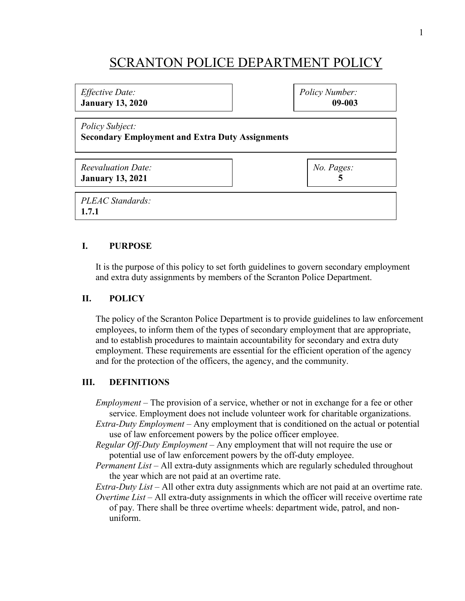# SCRANTON POLICE DEPARTMENT POLICY

## *Effective Date:* **January 13, 2020** *Policy Subject:* **Secondary Employment and Extra Duty Assignments** *Reevaluation Date:*  $N_{\alpha}$   $p_{a\alpha\beta}$ . *Policy Number:* **09-003**

| neevalaalion Dale.<br><b>January 13, 2021</b> | $110.1$ uges. |
|-----------------------------------------------|---------------|
| PLEAC Standards:<br>1.7.1                     |               |

### **I. PURPOSE**

It is the purpose of this policy to set forth guidelines to govern secondary employment and extra duty assignments by members of the Scranton Police Department.

#### **II. POLICY**

The policy of the Scranton Police Department is to provide guidelines to law enforcement employees, to inform them of the types of secondary employment that are appropriate, and to establish procedures to maintain accountability for secondary and extra duty employment. These requirements are essential for the efficient operation of the agency and for the protection of the officers, the agency, and the community.

#### **III. DEFINITIONS**

*Employment* – The provision of a service, whether or not in exchange for a fee or other service. Employment does not include volunteer work for charitable organizations.

*Extra-Duty Employment* – Any employment that is conditioned on the actual or potential use of law enforcement powers by the police officer employee.

*Regular Off-Duty Employment* – Any employment that will not require the use or potential use of law enforcement powers by the off-duty employee.

*Permanent List* – All extra-duty assignments which are regularly scheduled throughout the year which are not paid at an overtime rate.

*Extra-Duty List* – All other extra duty assignments which are not paid at an overtime rate. *Overtime List* – All extra-duty assignments in which the officer will receive overtime rate

of pay. There shall be three overtime wheels: department wide, patrol, and nonuniform.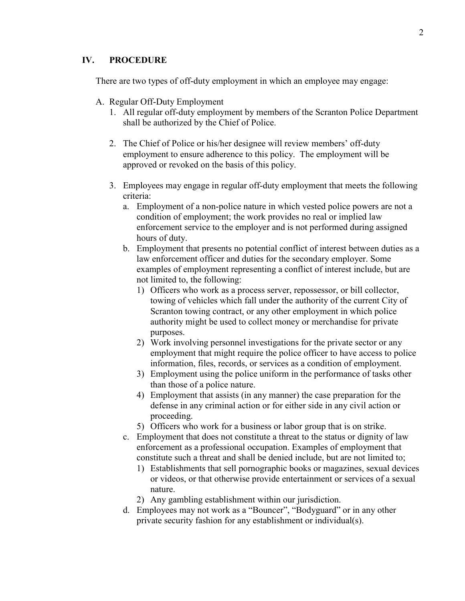#### **IV. PROCEDURE**

There are two types of off-duty employment in which an employee may engage:

- A. Regular Off-Duty Employment
	- 1. All regular off-duty employment by members of the Scranton Police Department shall be authorized by the Chief of Police.
	- 2. The Chief of Police or his/her designee will review members' off-duty employment to ensure adherence to this policy. The employment will be approved or revoked on the basis of this policy.
	- 3. Employees may engage in regular off-duty employment that meets the following criteria:
		- a. Employment of a non-police nature in which vested police powers are not a condition of employment; the work provides no real or implied law enforcement service to the employer and is not performed during assigned hours of duty.
		- b. Employment that presents no potential conflict of interest between duties as a law enforcement officer and duties for the secondary employer. Some examples of employment representing a conflict of interest include, but are not limited to, the following:
			- 1) Officers who work as a process server, repossessor, or bill collector, towing of vehicles which fall under the authority of the current City of Scranton towing contract, or any other employment in which police authority might be used to collect money or merchandise for private purposes.
			- 2) Work involving personnel investigations for the private sector or any employment that might require the police officer to have access to police information, files, records, or services as a condition of employment.
			- 3) Employment using the police uniform in the performance of tasks other than those of a police nature.
			- 4) Employment that assists (in any manner) the case preparation for the defense in any criminal action or for either side in any civil action or proceeding.
			- 5) Officers who work for a business or labor group that is on strike.
		- c. Employment that does not constitute a threat to the status or dignity of law enforcement as a professional occupation. Examples of employment that constitute such a threat and shall be denied include, but are not limited to;
			- 1) Establishments that sell pornographic books or magazines, sexual devices or videos, or that otherwise provide entertainment or services of a sexual nature.
			- 2) Any gambling establishment within our jurisdiction.
		- d. Employees may not work as a "Bouncer", "Bodyguard" or in any other private security fashion for any establishment or individual(s).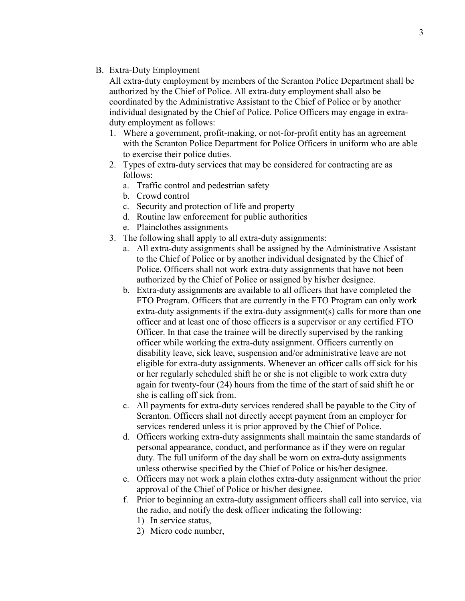B. Extra-Duty Employment

All extra-duty employment by members of the Scranton Police Department shall be authorized by the Chief of Police. All extra-duty employment shall also be coordinated by the Administrative Assistant to the Chief of Police or by another individual designated by the Chief of Police. Police Officers may engage in extraduty employment as follows:

- 1. Where a government, profit-making, or not-for-profit entity has an agreement with the Scranton Police Department for Police Officers in uniform who are able to exercise their police duties.
- 2. Types of extra-duty services that may be considered for contracting are as follows:
	- a. Traffic control and pedestrian safety
	- b. Crowd control
	- c. Security and protection of life and property
	- d. Routine law enforcement for public authorities
	- e. Plainclothes assignments
- 3. The following shall apply to all extra-duty assignments:
	- a. All extra-duty assignments shall be assigned by the Administrative Assistant to the Chief of Police or by another individual designated by the Chief of Police. Officers shall not work extra-duty assignments that have not been authorized by the Chief of Police or assigned by his/her designee.
	- b. Extra-duty assignments are available to all officers that have completed the FTO Program. Officers that are currently in the FTO Program can only work extra-duty assignments if the extra-duty assignment(s) calls for more than one officer and at least one of those officers is a supervisor or any certified FTO Officer. In that case the trainee will be directly supervised by the ranking officer while working the extra-duty assignment. Officers currently on disability leave, sick leave, suspension and/or administrative leave are not eligible for extra-duty assignments. Whenever an officer calls off sick for his or her regularly scheduled shift he or she is not eligible to work extra duty again for twenty-four (24) hours from the time of the start of said shift he or she is calling off sick from.
	- c. All payments for extra-duty services rendered shall be payable to the City of Scranton. Officers shall not directly accept payment from an employer for services rendered unless it is prior approved by the Chief of Police.
	- d. Officers working extra-duty assignments shall maintain the same standards of personal appearance, conduct, and performance as if they were on regular duty. The full uniform of the day shall be worn on extra-duty assignments unless otherwise specified by the Chief of Police or his/her designee.
	- e. Officers may not work a plain clothes extra-duty assignment without the prior approval of the Chief of Police or his/her designee.
	- f. Prior to beginning an extra-duty assignment officers shall call into service, via the radio, and notify the desk officer indicating the following:
		- 1) In service status,
		- 2) Micro code number,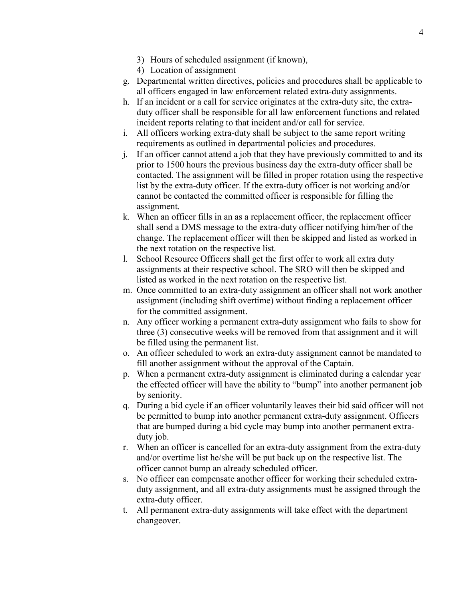- 3) Hours of scheduled assignment (if known),
- 4) Location of assignment
- g. Departmental written directives, policies and procedures shall be applicable to all officers engaged in law enforcement related extra-duty assignments.
- h. If an incident or a call for service originates at the extra-duty site, the extraduty officer shall be responsible for all law enforcement functions and related incident reports relating to that incident and/or call for service.
- i. All officers working extra-duty shall be subject to the same report writing requirements as outlined in departmental policies and procedures.
- j. If an officer cannot attend a job that they have previously committed to and its prior to 1500 hours the previous business day the extra-duty officer shall be contacted. The assignment will be filled in proper rotation using the respective list by the extra-duty officer. If the extra-duty officer is not working and/or cannot be contacted the committed officer is responsible for filling the assignment.
- k. When an officer fills in an as a replacement officer, the replacement officer shall send a DMS message to the extra-duty officer notifying him/her of the change. The replacement officer will then be skipped and listed as worked in the next rotation on the respective list.
- l. School Resource Officers shall get the first offer to work all extra duty assignments at their respective school. The SRO will then be skipped and listed as worked in the next rotation on the respective list.
- m. Once committed to an extra-duty assignment an officer shall not work another assignment (including shift overtime) without finding a replacement officer for the committed assignment.
- n. Any officer working a permanent extra-duty assignment who fails to show for three (3) consecutive weeks will be removed from that assignment and it will be filled using the permanent list.
- o. An officer scheduled to work an extra-duty assignment cannot be mandated to fill another assignment without the approval of the Captain.
- p. When a permanent extra-duty assignment is eliminated during a calendar year the effected officer will have the ability to "bump" into another permanent job by seniority.
- q. During a bid cycle if an officer voluntarily leaves their bid said officer will not be permitted to bump into another permanent extra-duty assignment. Officers that are bumped during a bid cycle may bump into another permanent extraduty job.
- r. When an officer is cancelled for an extra-duty assignment from the extra-duty and/or overtime list he/she will be put back up on the respective list. The officer cannot bump an already scheduled officer.
- s. No officer can compensate another officer for working their scheduled extraduty assignment, and all extra-duty assignments must be assigned through the extra-duty officer.
- t. All permanent extra-duty assignments will take effect with the department changeover.